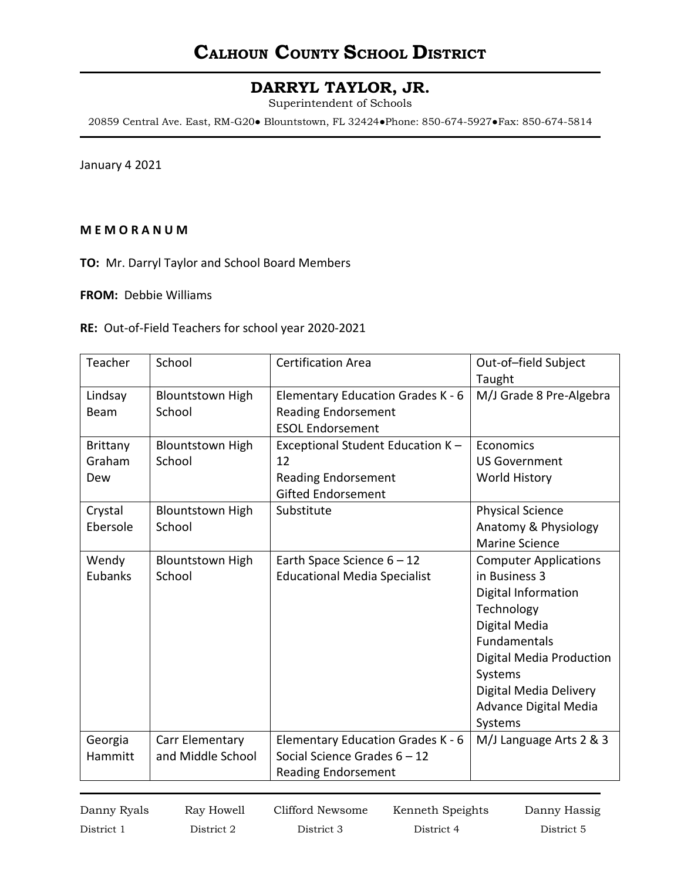## **CALHOUN COUNTY SCHOOL DISTRICT**

### **DARRYL TAYLOR, JR.**

Superintendent of Schools

20859 Central Ave. East, RM-G20● Blountstown, FL 32424●Phone: 850-674-5927●Fax: 850-674-5814

January 4 2021

#### **M E M O R A N U M**

**TO:** Mr. Darryl Taylor and School Board Members

**FROM:** Debbie Williams

**RE:** Out-of-Field Teachers for school year 2020-2021

| Teacher         | School                  | <b>Certification Area</b>           | Out-of-field Subject            |
|-----------------|-------------------------|-------------------------------------|---------------------------------|
|                 |                         |                                     | Taught                          |
| Lindsay         | <b>Blountstown High</b> | Elementary Education Grades K - 6   | M/J Grade 8 Pre-Algebra         |
| Beam            | School                  | <b>Reading Endorsement</b>          |                                 |
|                 |                         | <b>ESOL Endorsement</b>             |                                 |
| <b>Brittany</b> | <b>Blountstown High</b> | Exceptional Student Education K -   | Economics                       |
| Graham          | School                  | 12                                  | <b>US Government</b>            |
| Dew             |                         | <b>Reading Endorsement</b>          | World History                   |
|                 |                         | <b>Gifted Endorsement</b>           |                                 |
| Crystal         | <b>Blountstown High</b> | Substitute                          | <b>Physical Science</b>         |
| Ebersole        | School                  |                                     | Anatomy & Physiology            |
|                 |                         |                                     | <b>Marine Science</b>           |
| Wendy           | <b>Blountstown High</b> | Earth Space Science $6 - 12$        | <b>Computer Applications</b>    |
| Eubanks         | School                  | <b>Educational Media Specialist</b> | in Business 3                   |
|                 |                         |                                     | Digital Information             |
|                 |                         |                                     | Technology                      |
|                 |                         |                                     | Digital Media                   |
|                 |                         |                                     | <b>Fundamentals</b>             |
|                 |                         |                                     | <b>Digital Media Production</b> |
|                 |                         |                                     | Systems                         |
|                 |                         |                                     | Digital Media Delivery          |
|                 |                         |                                     | Advance Digital Media           |
|                 |                         |                                     | Systems                         |
| Georgia         | Carr Elementary         | Elementary Education Grades K - 6   | M/J Language Arts 2 & 3         |
| Hammitt         | and Middle School       | Social Science Grades 6 - 12        |                                 |
|                 |                         | <b>Reading Endorsement</b>          |                                 |

District 1 District 2 District 3 District 4 District 5